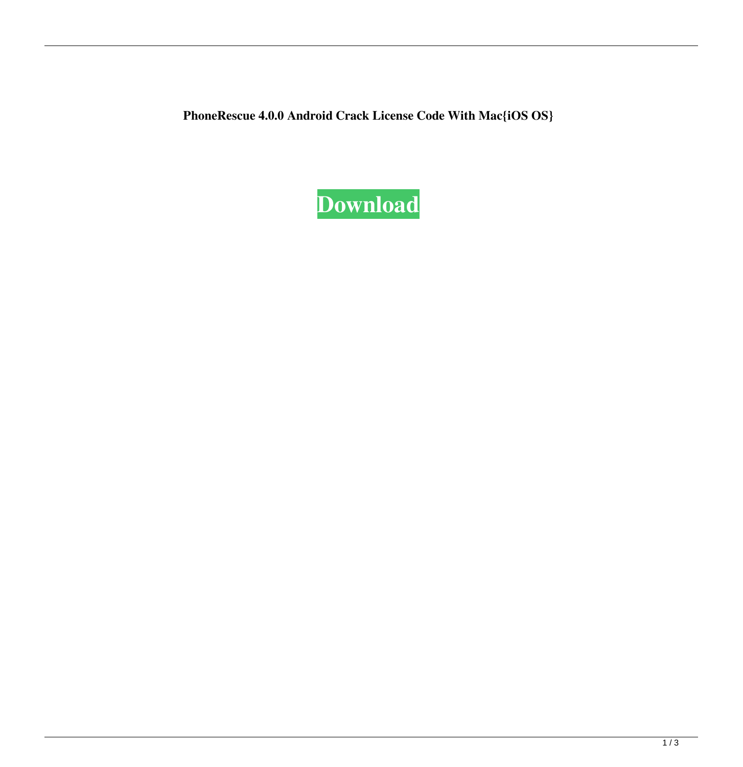**PhoneRescue 4.0.0 Android Crack License Code With Mac{iOS OS}**

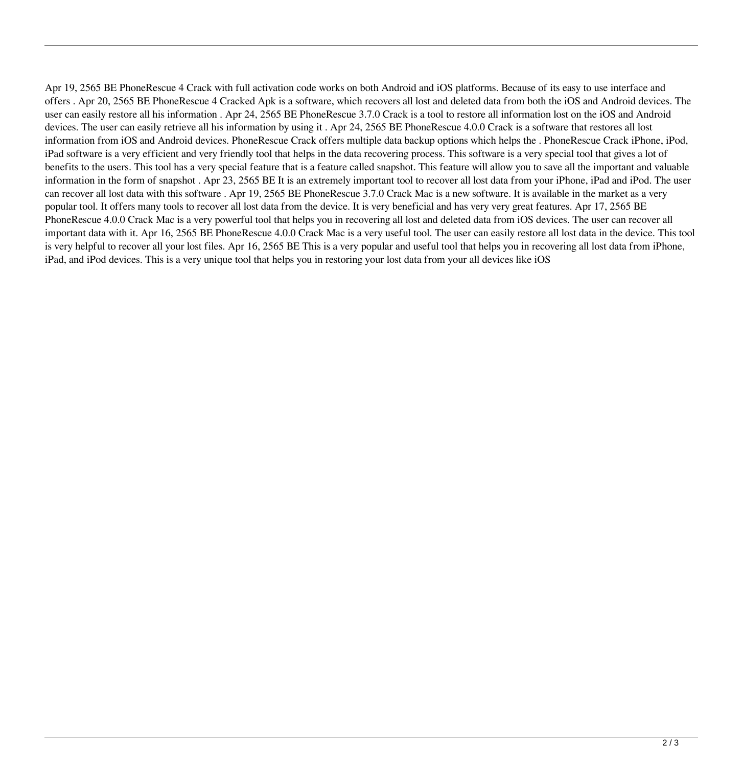Apr 19, 2565 BE PhoneRescue 4 Crack with full activation code works on both Android and iOS platforms. Because of its easy to use interface and offers . Apr 20, 2565 BE PhoneRescue 4 Cracked Apk is a software, which recovers all lost and deleted data from both the iOS and Android devices. The user can easily restore all his information . Apr 24, 2565 BE PhoneRescue 3.7.0 Crack is a tool to restore all information lost on the iOS and Android devices. The user can easily retrieve all his information by using it . Apr 24, 2565 BE PhoneRescue 4.0.0 Crack is a software that restores all lost information from iOS and Android devices. PhoneRescue Crack offers multiple data backup options which helps the . PhoneRescue Crack iPhone, iPod, iPad software is a very efficient and very friendly tool that helps in the data recovering process. This software is a very special tool that gives a lot of benefits to the users. This tool has a very special feature that is a feature called snapshot. This feature will allow you to save all the important and valuable information in the form of snapshot . Apr 23, 2565 BE It is an extremely important tool to recover all lost data from your iPhone, iPad and iPod. The user can recover all lost data with this software . Apr 19, 2565 BE PhoneRescue 3.7.0 Crack Mac is a new software. It is available in the market as a very popular tool. It offers many tools to recover all lost data from the device. It is very beneficial and has very very great features. Apr 17, 2565 BE PhoneRescue 4.0.0 Crack Mac is a very powerful tool that helps you in recovering all lost and deleted data from iOS devices. The user can recover all important data with it. Apr 16, 2565 BE PhoneRescue 4.0.0 Crack Mac is a very useful tool. The user can easily restore all lost data in the device. This tool is very helpful to recover all your lost files. Apr 16, 2565 BE This is a very popular and useful tool that helps you in recovering all lost data from iPhone, iPad, and iPod devices. This is a very unique tool that helps you in restoring your lost data from your all devices like iOS